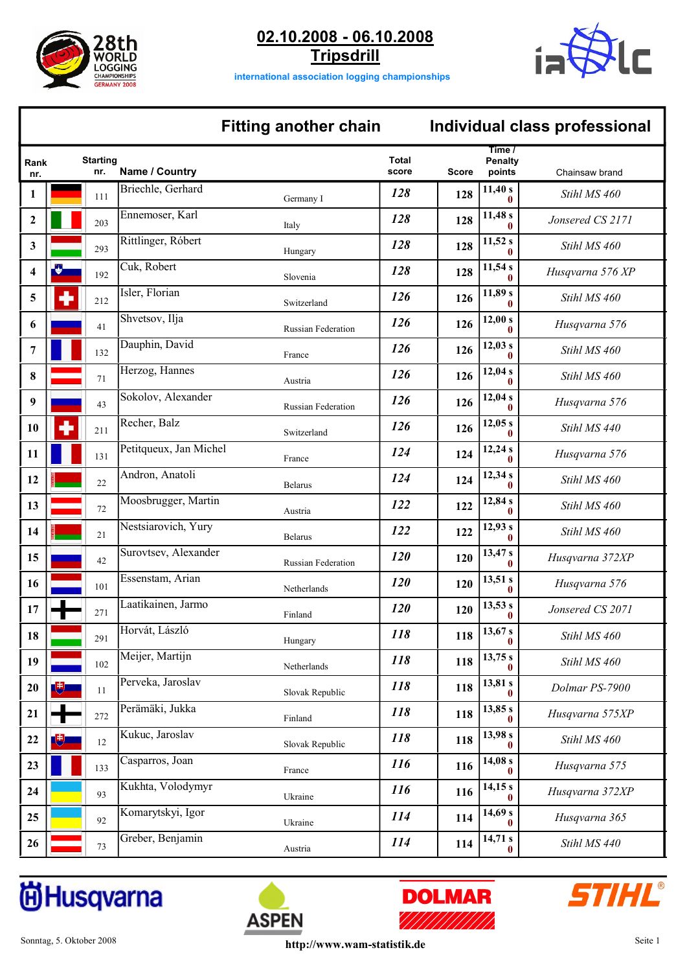



**international association logging championships**

# **Fitting another chain Individual class professional**

## **Time / Penalty points Total score Starting nr. Rank Name / Country Name / Country Score Score Score Score Chainsaw brand** 1<sup>1</sup> Briechle, Gerhard **11,40 s** *11,40 s 11,40 s 11,40 s 11,40 s 11,40 s 11,40 s Stihl MS 460* 2  $\begin{bmatrix} \Box \ \Box \end{bmatrix}$  203  $\begin{bmatrix} \text{Ennemoser, Karl} \\ 203 \end{bmatrix}$  **11,48**  $\begin{bmatrix} 11,48 \ 0 \end{bmatrix}$ *Jonsered CS 2171* <sup>293</sup> Rittlinger, Róbert **11,52 s** *<sup>128</sup>* Hungary **<sup>3</sup> <sup>0</sup> <sup>128</sup>** *Stihl MS 460* <sup>192</sup> Cuk, Robert **11,54 s** *<sup>128</sup>* Slovenia **<sup>4</sup> <sup>0</sup> <sup>128</sup>** *Husqvarna 576 XP* **212 126 11,89 s 11,89 s** *Stihl MS 460* **126 11,89 s** *Stihl MS 460* <sup>41</sup> Shvetsov, Ilja **12,00 s** *<sup>126</sup>* Russian Federation **<sup>6</sup> <sup>0</sup> <sup>126</sup>** *Husqvarna 576* <sup>132</sup> Dauphin, David **12,03 s** *<sup>126</sup>* France **<sup>7</sup> <sup>0</sup> <sup>126</sup>** *Stihl MS 460* <sup>71</sup> Herzog, Hannes **12,04 s** *<sup>126</sup>* Austria **<sup>8</sup> <sup>0</sup> <sup>126</sup>** *Stihl MS 460* <sup>43</sup> Sokolov, Alexander **12,04 s** *<sup>126</sup>* Russian Federation **<sup>9</sup> <sup>0</sup> <sup>126</sup>** *Husqvarna 576* 10 **8 126 126 126 126 126 126 126** *Stihl MS 440* **126 126 126 126 126 126 126 126 126 126 126 126 126 126 126 126 126 126 126 126 126 126 126 126 126 126 1** 11 **Petitqueux**, Jan Michel **124 124 124 124** *Husqvarna* 576 12 **Andron, Anatoli 124 124 124 124 124** *Stihl MS 460* 13 **122 12,84 s** *Stihl MS 460* **122 122 123 122 123** *Stihl MS 460* 14 **122 12,93 s** *Stihl MS 460* **122 123 123 123** *Stihl MS 460* 15 **13,47 s 13,47 s** *Husqvarna 372XP* **120 120 120 120 13,47 s** *Husqvarna 372XP* 16 **13,51 s** *101* **Essenstam, Arian <b>13,51 120 120 120 13,51 13,51** *Husqvarna* 576 <sup>271</sup> Laatikainen, Jarmo **13,53 s** *<sup>120</sup>* Finland **<sup>17</sup> <sup>0</sup> <sup>120</sup>** *Jonsered CS 2071* <sup>291</sup> Horvát, László **13,67 s** *<sup>118</sup>* Hungary **<sup>18</sup> <sup>0</sup> <sup>118</sup>** *Stihl MS 460* 102 Meijer, Martijn **13,75 s 118 118 118** *Stihl MS 460* **11** Perveka, Jaroslav **118** Slovak Republic **118 118 118 118** *Dolmar PS-7900* <sup>272</sup> Perämäki, Jukka **13,85 s** *<sup>118</sup>* Finland **<sup>21</sup> <sup>0</sup> <sup>118</sup>** *Husqvarna 575XP* **12 EXECUTE 12 EXECUTE 12 EXECUTE 13,98 s 118 118 118 118 118 118 118 118 118 118 118 118 118 118 118 118 118 118 118 118 118 118 118 118 118 118 118 118 118 23 116 116 14,08 s** *Husqvarna 575* **116 116 116 116 116 116** *Husqvarna 575* <sup>93</sup> Kukhta, Volodymyr **14,15 s** *<sup>116</sup>* Ukraine **<sup>24</sup> <sup>0</sup> <sup>116</sup>** *Husqvarna 372XP* <sup>92</sup> Komarytskyi, Igor **14,69 s** *<sup>114</sup>* Ukraine **<sup>25</sup> <sup>0</sup> <sup>114</sup>** *Husqvarna 365* <sup>73</sup> Greber, Benjamin **14,71 s** *<sup>114</sup>* Austria **<sup>26</sup> <sup>0</sup> <sup>114</sup>** *Stihl MS 440*

# **尚Husqvarna**





**ASPEN**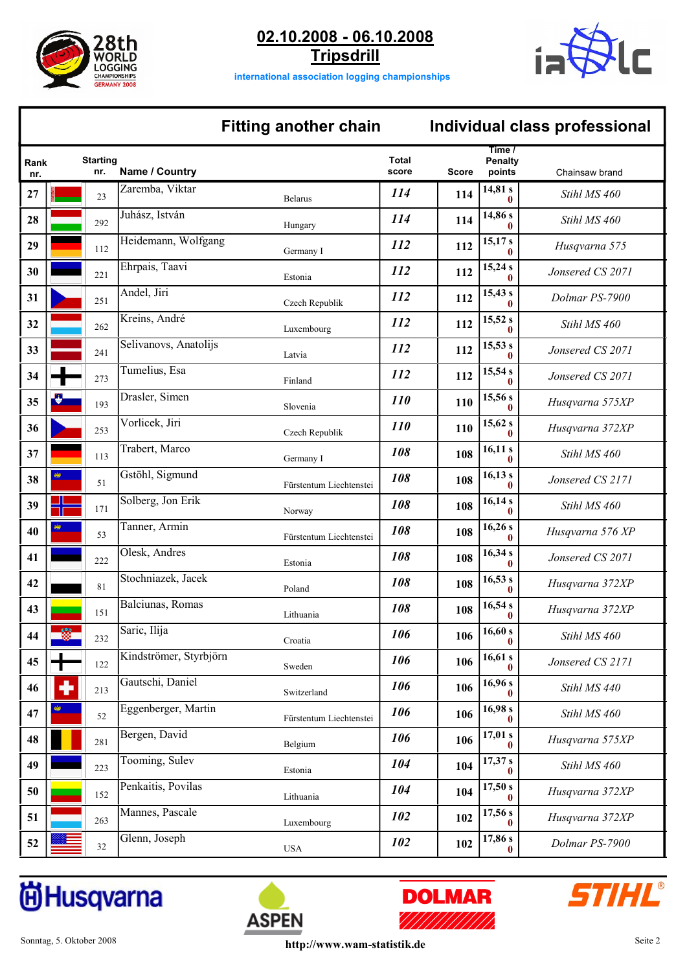







### **Fitting another chain Individual class professional**

# **Time / Penalty points Total score Starting nr. Rank Name / Country Name / Country Score Score Score Chainsaw brand** 27 **114 114 114 114 114 114 114 114 114 114 114 114 114 114 114 114 114 114 114 114 114 114 114 114 114 114 114 114 114 114 114 114 114 114 114 114 11 28 114 114 114 114 114 114 114 114 114 114 114 114 114 114 114 114 116 116 116 116 116 116 116 116 116 116 116 116 116 116 116 116 116 116 116 116** <sup>112</sup> Heidemann, Wolfgang **15,17 s** *<sup>112</sup>* Germany I **<sup>29</sup> <sup>0</sup> <sup>112</sup>** *Husqvarna 575* <sup>221</sup> Ehrpais, Taavi **15,24 s** *<sup>112</sup>* Estonia **<sup>30</sup> <sup>0</sup> <sup>112</sup>** *Jonsered CS 2071* <sup>251</sup> Andel, Jiri **15,43 s** *<sup>112</sup>* Czech Republik **<sup>31</sup> <sup>0</sup> <sup>112</sup>** *Dolmar PS-7900* **262 Kreins, André 112 112 112 112 113,52 s** *Stihl MS 460* **241** Selivanovs, Anatolijs **112 112 112** *Jonsered CS 2071 112* **112 112** *Jonsered CS 2071* <sup>273</sup> Tumelius, Esa **15,54 s** *<sup>112</sup>* Finland **<sup>34</sup> <sup>0</sup> <sup>112</sup>** *Jonsered CS 2071* <sup>193</sup> Drasler, Simen **15,56 s** *<sup>110</sup>* Slovenia **<sup>35</sup> <sup>0</sup> <sup>110</sup>** *Husqvarna 575XP* <sup>253</sup> Vorlicek, Jiri **15,62 s** *<sup>110</sup>* Czech Republik **<sup>36</sup> <sup>0</sup> <sup>110</sup>** *Husqvarna 372XP* 113 Trabert, Marco **16,11 s** *108* **16,11 s** *Stihl MS 460* <sup>51</sup> Gstöhl, Sigmund **16,13 s** *<sup>108</sup>* Fürstentum Liechtenstei **<sup>38</sup> <sup>0</sup> <sup>108</sup>** *Jonsered CS 2171* 171 Solberg, Jon Erik **16,14 s 16,14 s** *Stihl MS 460* <sup>53</sup> Tanner, Armin **16,26 s** *<sup>108</sup>* Fürstentum Liechtenstei **<sup>40</sup> <sup>0</sup> <sup>108</sup>** *Husqvarna 576 XP* <sup>222</sup> Olesk, Andres **16,34 s** *<sup>108</sup>* Estonia **<sup>41</sup> <sup>0</sup> <sup>108</sup>** *Jonsered CS 2071* <sup>81</sup> Stochniazek, Jacek **16,53 s** *<sup>108</sup>* Poland **<sup>42</sup> <sup>0</sup> <sup>108</sup>** *Husqvarna 372XP* <sup>151</sup> Balciunas, Romas **16,54 s** *<sup>108</sup>* Lithuania **<sup>43</sup> <sup>0</sup> <sup>108</sup>** *Husqvarna 372XP* **232** Saric, Ilija **106 106 106 106** *Stihl MS 460* **6** *Stihl MS 460* <sup>122</sup> Kindströmer, Styrbjörn **16,61 s** *<sup>106</sup>* Sweden **<sup>45</sup> <sup>0</sup> <sup>106</sup>** *Jonsered CS 2171* <sup>213</sup> Gautschi, Daniel **16,96 s** *<sup>106</sup>* Switzerland **<sup>46</sup> <sup>0</sup> <sup>106</sup>** *Stihl MS 440* <sup>52</sup> Eggenberger, Martin **16,98 s** *<sup>106</sup>* Fürstentum Liechtenstei **<sup>47</sup> <sup>0</sup> <sup>106</sup>** *Stihl MS 460* <sup>281</sup> Bergen, David **17,01 s** *<sup>106</sup>* Belgium **<sup>48</sup> <sup>0</sup> <sup>106</sup>** *Husqvarna 575XP* <sup>223</sup> Tooming, Sulev **17,37 s** *<sup>104</sup>* Estonia **<sup>49</sup> <sup>0</sup> <sup>104</sup>** *Stihl MS 460* <sup>152</sup> Penkaitis, Povilas **17,50 s** *<sup>104</sup>* Lithuania **<sup>50</sup> <sup>0</sup> <sup>104</sup>** *Husqvarna 372XP* <sup>263</sup> Mannes, Pascale **17,56 s** *<sup>102</sup>* Luxembourg **<sup>51</sup> <sup>0</sup> <sup>102</sup>** *Husqvarna 372XP* 52 **Glenn**, Joseph **102 102 102** *Dolmar PS-7900*

# **尚Husqvarna**





**ASPEN**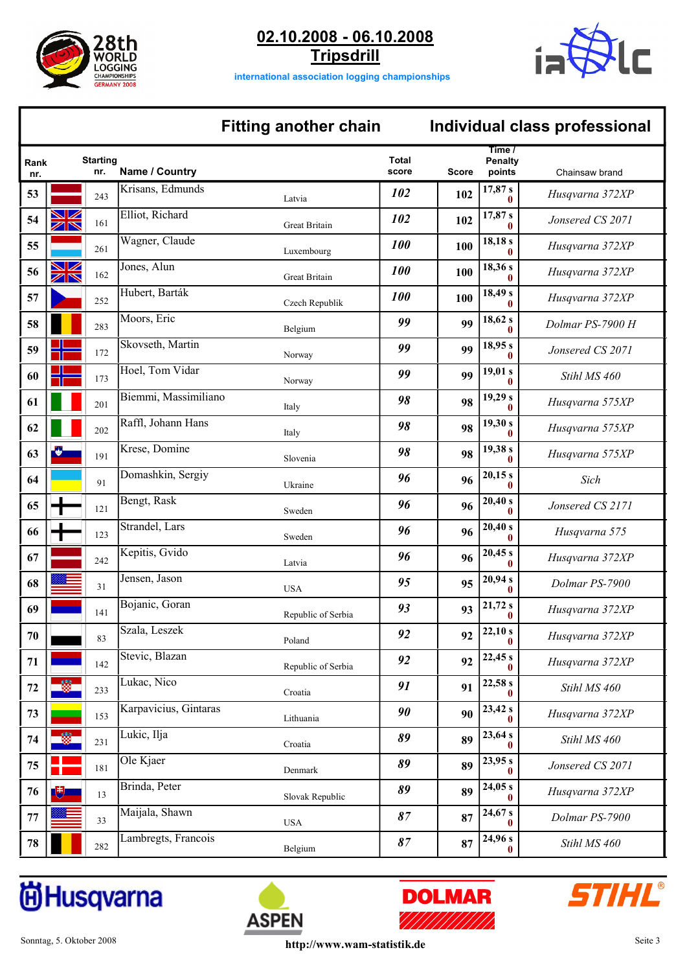





**international association logging championships**

### **Fitting another chain Individual class professional**

# **Time / Penalty points Total score Starting nr. Rank Name / Country <b>Score** Chainsaw brand Chainsaw brand Chainsaw brand Chainsaw brand <sup>243</sup> Krisans, Edmunds **17,87 s** *<sup>102</sup>* Latvia **<sup>0</sup> <sup>102</sup>** *Husqvarna 372XP* <sup>161</sup> Elliot, Richard **17,87 s** *<sup>102</sup>* Great Britain **<sup>0</sup> <sup>102</sup>** *Jonsered CS 2071* <sup>261</sup> Wagner, Claude **18,18 s** *<sup>100</sup>* Luxembourg **<sup>0</sup> <sup>100</sup>** *Husqvarna 372XP* <sup>162</sup> Jones, Alun **18,36 s** *<sup>100</sup>* Great Britain **<sup>0</sup> <sup>100</sup>** *Husqvarna 372XP* <sup>252</sup> Hubert, Barták **18,49 s** *<sup>100</sup>* Czech Republik **<sup>0</sup> <sup>100</sup>** *Husqvarna 372XP* Moors, Eric **18,62 s 18,62 s** *99 p p Dolmar PS-7900 H* <sup>172</sup> Skovseth, Martin **18,95 s** *<sup>99</sup>* Norway **<sup>0</sup> <sup>99</sup>** *Jonsered CS 2071* <sup>173</sup> Hoel, Tom Vidar **19,01 s** *<sup>99</sup>* Norway **<sup>0</sup> <sup>99</sup>** *Stihl MS 460* <sup>201</sup> Biemmi, Massimiliano **19,29 s** *<sup>98</sup>* Italy **<sup>0</sup> <sup>98</sup>** *Husqvarna 575XP* **Raffl**, Johann Hans **19,30 s 19,30 s** *Husqvarna 575XP* <sup>191</sup> Krese, Domine **19,38 s** *<sup>98</sup>* Slovenia **<sup>0</sup> <sup>98</sup>** *Husqvarna 575XP* <sup>91</sup> Domashkin, Sergiy **20,15 s** *<sup>96</sup>* Ukraine **<sup>0</sup> <sup>96</sup>** *Sich* <sup>121</sup> Bengt, Rask **20,40 s** *<sup>96</sup>* Sweden **<sup>0</sup> <sup>96</sup>** *Jonsered CS 2171* <sup>123</sup> Strandel, Lars **20,40 s** *<sup>96</sup>* Sweden **<sup>0</sup> <sup>96</sup>** *Husqvarna 575* <sup>242</sup> Kepitis, Gvido **20,45 s** *<sup>96</sup>* Latvia **<sup>0</sup> <sup>96</sup>** *Husqvarna 372XP* <sup>31</sup> Jensen, Jason **20,94 s** *<sup>95</sup>* USA **<sup>0</sup> <sup>95</sup>** *Dolmar PS-7900* <sup>141</sup> Bojanic, Goran **21,72 s** *<sup>93</sup>* Republic of Serbia **<sup>0</sup> <sup>93</sup>** *Husqvarna 372XP* <sup>83</sup> Szala, Leszek **22,10 s** *<sup>92</sup>* Poland **<sup>0</sup> <sup>92</sup>** *Husqvarna 372XP* <sup>142</sup> Stevic, Blazan **22,45 s** *<sup>92</sup>* Republic of Serbia **<sup>0</sup> <sup>92</sup>** *Husqvarna 372XP* <sup>233</sup> Lukac, Nico **22,58 s** *<sup>91</sup>* Croatia **<sup>0</sup> <sup>91</sup>** *Stihl MS 460* <sup>153</sup> Karpavicius, Gintaras **23,42 s** *<sup>90</sup>* Lithuania **<sup>0</sup> <sup>90</sup>** *Husqvarna 372XP* <sup>231</sup> Lukic, Ilja **23,64 s** *<sup>89</sup>* Croatia **<sup>0</sup> <sup>89</sup>** *Stihl MS 460* <sup>181</sup> Ole Kjaer **23,95 s** *<sup>89</sup>* Denmark **<sup>0</sup> <sup>89</sup>** *Jonsered CS 2071* <sup>13</sup> Brinda, Peter **24,05 s** *<sup>89</sup>* Slovak Republic **<sup>0</sup> <sup>89</sup>** *Husqvarna 372XP* <sup>33</sup> Maijala, Shawn **24,67 s** *<sup>87</sup>* USA **<sup>0</sup> <sup>87</sup>** *Dolmar PS-7900* <sup>282</sup> Lambregts, Francois **24,96 s** *<sup>87</sup>* Belgium **<sup>0</sup> <sup>87</sup>** *Stihl MS 460*

# **尚Husqvarna**





**ASPEN**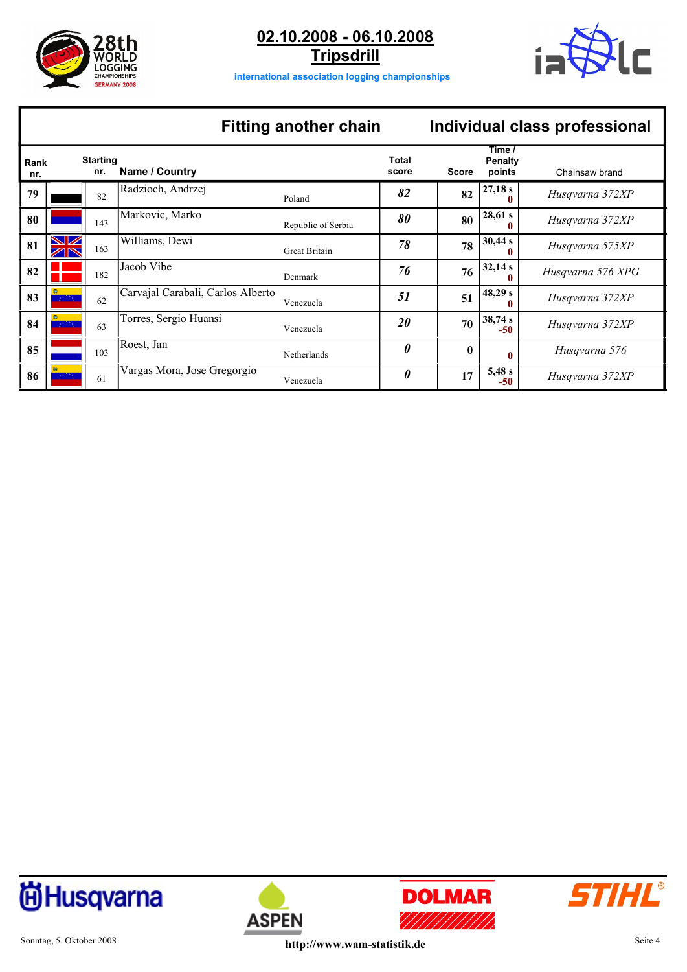





**international association logging championships**

# **Fitting another chain Individual class professional**

| Rank<br>nr. |                      | <b>Starting</b><br>nr. | Name / Country                    |                    | Total<br>score        | <b>Score</b> | Time /<br>Penalty<br>points | Chainsaw brand    |
|-------------|----------------------|------------------------|-----------------------------------|--------------------|-----------------------|--------------|-----------------------------|-------------------|
| 79          |                      | 82                     | Radzioch, Andrzej                 | Poland             | 82                    | 82           | 27,18s                      | Husqvarna 372XP   |
| 80          |                      | 143                    | Markovic, Marko                   | Republic of Serbia | 80                    | 80           | 28,61 s<br>0                | Husqvarna 372XP   |
| 81          | $\blacksquare$<br>ZN | 163                    | Williams, Dewi                    | Great Britain      | 78                    | 78           | 30,44 s<br>0                | Husqvarna 575XP   |
| 82          |                      | 182                    | Jacob Vibe                        | Denmark            | 76                    | 76           | 32,14 s                     | Husqvarna 576 XPG |
| 83          |                      | 62                     | Carvajal Carabali, Carlos Alberto | Venezuela          | 51                    | 51           | 48,29 s<br>0                | Husqvarna 372XP   |
| 84          |                      | 63                     | Torres, Sergio Huansi             | Venezuela          | <i>20</i>             | 70           | 38,74 s<br>$-50$            | Husqvarna 372XP   |
| 85          |                      | 103                    | Roest, Jan                        | Netherlands        | $\boldsymbol{\theta}$ | $\mathbf{0}$ | $\mathbf{0}$                | Husqvarna 576     |
| 86          |                      | 61                     | Vargas Mora, Jose Gregorgio       | Venezuela          | $\boldsymbol{\theta}$ | 17           | 5,48s<br>$-50$              | Husqvarna 372XP   |